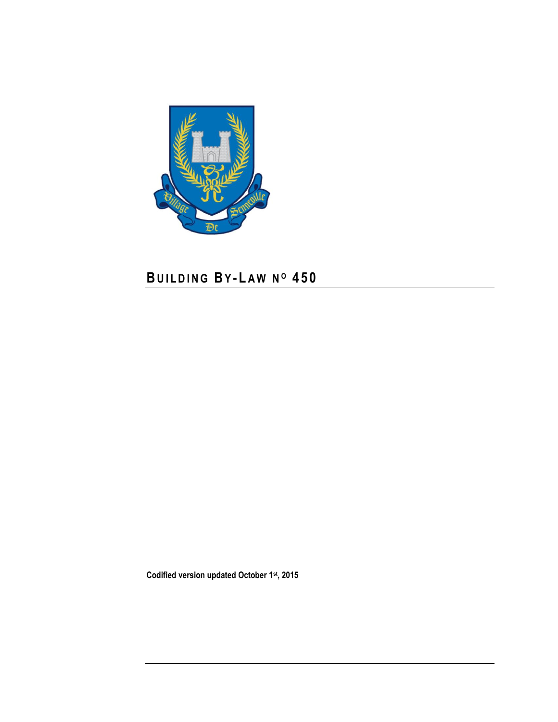

**Codified version updated October 1st, 2015**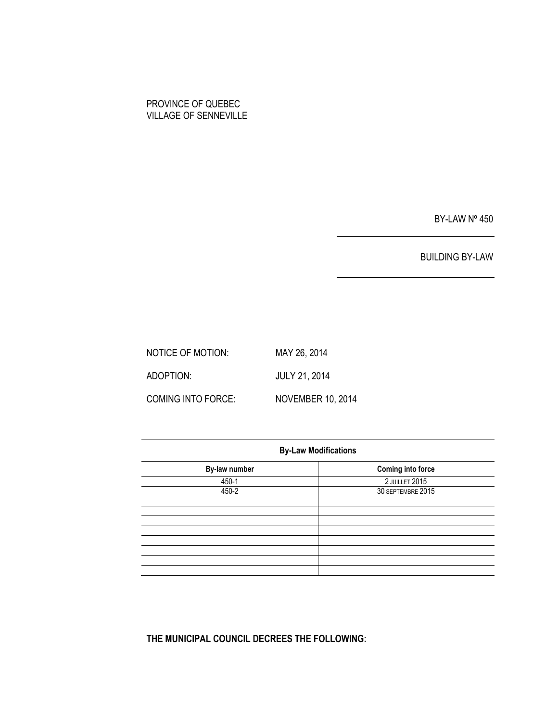## PROVINCE OF QUEBEC VILLAGE OF SENNEVILLE

BY-LAW Nº 450

BUILDING BY-LAW

NOTICE OF MOTION: MAY 26, 2014 ADOPTION: JULY 21, 2014 COMING INTO FORCE: NOVEMBER 10, 2014

| <b>By-Law Modifications</b> |                   |  |  |
|-----------------------------|-------------------|--|--|
| By-law number               | Coming into force |  |  |
| 450-1                       | 2 JUILLET 2015    |  |  |
| 450-2                       | 30 SEPTEMBRE 2015 |  |  |
|                             |                   |  |  |
|                             |                   |  |  |
|                             |                   |  |  |
|                             |                   |  |  |
|                             |                   |  |  |
|                             |                   |  |  |
|                             |                   |  |  |
|                             |                   |  |  |

**THE MUNICIPAL COUNCIL DECREES THE FOLLOWING:**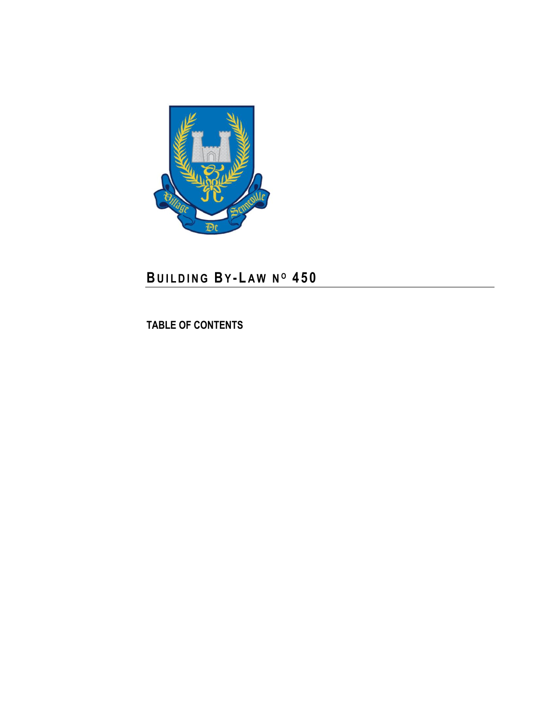

**TABLE OF CONTENTS**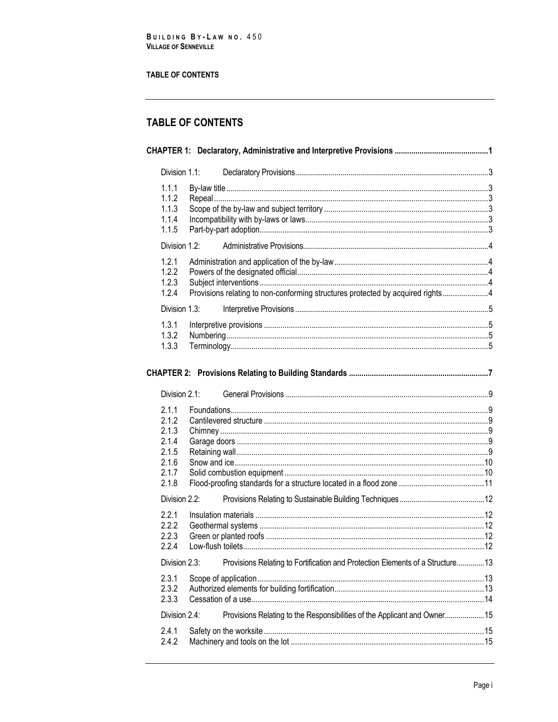## TABLE OF CONTENTS

# TABLE OF CONTENTS

| Division 1.1:                                                                                                                                       |                                                                                                                                                            |
|-----------------------------------------------------------------------------------------------------------------------------------------------------|------------------------------------------------------------------------------------------------------------------------------------------------------------|
| 1.1.1<br>1.1.2                                                                                                                                      |                                                                                                                                                            |
| 1.1.3                                                                                                                                               |                                                                                                                                                            |
| 1.1.4<br>1.1.5                                                                                                                                      |                                                                                                                                                            |
|                                                                                                                                                     |                                                                                                                                                            |
| Division 1.2:                                                                                                                                       |                                                                                                                                                            |
| 1.2.1                                                                                                                                               |                                                                                                                                                            |
| 1.2.2<br>1.2.3                                                                                                                                      |                                                                                                                                                            |
| 1.2.4                                                                                                                                               | Provisions relating to non-conforming structures protected by acquired rights4                                                                             |
| Division 1.3:                                                                                                                                       |                                                                                                                                                            |
|                                                                                                                                                     |                                                                                                                                                            |
| 1.3.1<br>1.3.2                                                                                                                                      |                                                                                                                                                            |
| 1.3.3                                                                                                                                               |                                                                                                                                                            |
|                                                                                                                                                     |                                                                                                                                                            |
|                                                                                                                                                     |                                                                                                                                                            |
|                                                                                                                                                     |                                                                                                                                                            |
| Division 2.1:                                                                                                                                       |                                                                                                                                                            |
|                                                                                                                                                     |                                                                                                                                                            |
|                                                                                                                                                     |                                                                                                                                                            |
|                                                                                                                                                     |                                                                                                                                                            |
|                                                                                                                                                     |                                                                                                                                                            |
|                                                                                                                                                     |                                                                                                                                                            |
|                                                                                                                                                     |                                                                                                                                                            |
|                                                                                                                                                     |                                                                                                                                                            |
|                                                                                                                                                     |                                                                                                                                                            |
|                                                                                                                                                     |                                                                                                                                                            |
|                                                                                                                                                     |                                                                                                                                                            |
|                                                                                                                                                     |                                                                                                                                                            |
|                                                                                                                                                     |                                                                                                                                                            |
|                                                                                                                                                     |                                                                                                                                                            |
| 2.1.1<br>2.1.2<br>2.1.3<br>2.1.4<br>2.1.5<br>2.1.6<br>2.1.7<br>2.1.8<br>Division 2.2:<br>2.2.1<br>2.2.2<br>2.2.3<br>2.2.4<br>Division 2.3:<br>2.3.1 |                                                                                                                                                            |
|                                                                                                                                                     |                                                                                                                                                            |
|                                                                                                                                                     |                                                                                                                                                            |
| 2.3.2<br>2.3.3<br>Division 2.4:                                                                                                                     | Provisions Relating to Fortification and Protection Elements of a Structure 13<br>Provisions Relating to the Responsibilities of the Applicant and Owner15 |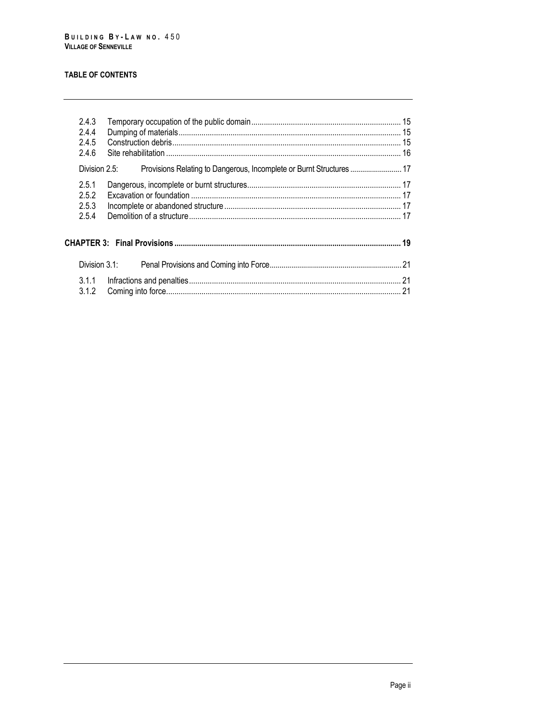## TABLE OF CONTENTS

| 2.4.3 |                                                                                    |  |
|-------|------------------------------------------------------------------------------------|--|
| 244   |                                                                                    |  |
| 2.4.5 |                                                                                    |  |
| 246   |                                                                                    |  |
|       | Division 2.5: Provisions Relating to Dangerous, Incomplete or Burnt Structures  17 |  |
| 2.5.1 |                                                                                    |  |
| 252   |                                                                                    |  |
| 2.5.3 |                                                                                    |  |
| 2.5.4 |                                                                                    |  |
|       |                                                                                    |  |
|       | Division 3.1:                                                                      |  |
| 3.1.1 |                                                                                    |  |
| 3.1.2 |                                                                                    |  |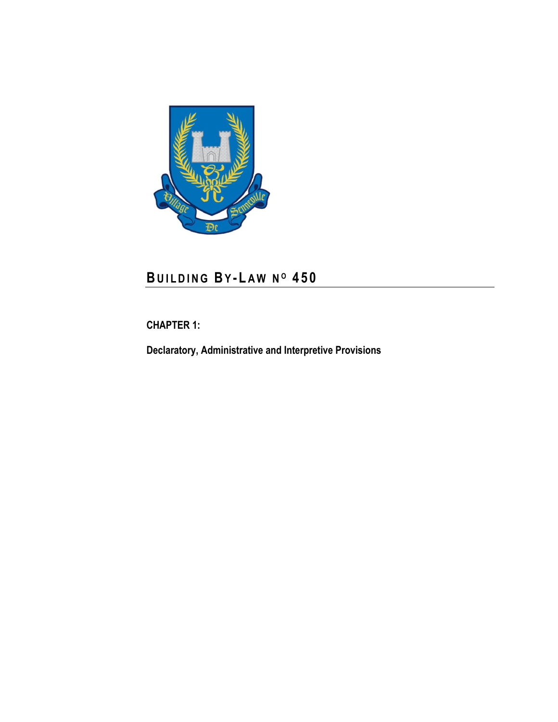

<span id="page-8-0"></span>**CHAPTER 1:**

**Declaratory, Administrative and Interpretive Provisions**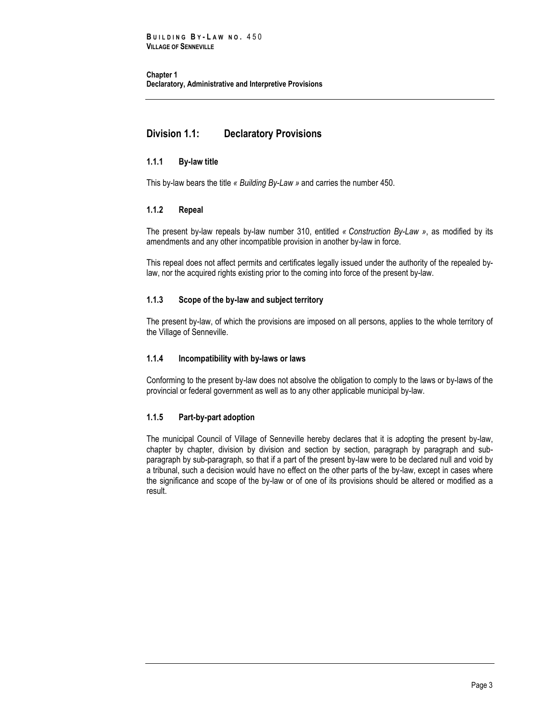**Chapter 1 Declaratory, Administrative and Interpretive Provisions**

## <span id="page-10-0"></span>**Division 1.1: Declaratory Provisions**

### <span id="page-10-1"></span>**1.1.1 By-law title**

<span id="page-10-2"></span>This by-law bears the title *« Building By-Law »* and carries the number 450.

### **1.1.2 Repeal**

The present by-law repeals by-law number 310, entitled *« Construction By-Law »*, as modified by its amendments and any other incompatible provision in another by-law in force.

This repeal does not affect permits and certificates legally issued under the authority of the repealed bylaw, nor the acquired rights existing prior to the coming into force of the present by-law.

### <span id="page-10-3"></span>**1.1.3 Scope of the by-law and subject territory**

The present by-law, of which the provisions are imposed on all persons, applies to the whole territory of the Village of Senneville.

### <span id="page-10-4"></span>**1.1.4 Incompatibility with by-laws or laws**

Conforming to the present by-law does not absolve the obligation to comply to the laws or by-laws of the provincial or federal government as well as to any other applicable municipal by-law.

### <span id="page-10-5"></span>**1.1.5 Part-by-part adoption**

The municipal Council of Village of Senneville hereby declares that it is adopting the present by-law, chapter by chapter, division by division and section by section, paragraph by paragraph and subparagraph by sub-paragraph, so that if a part of the present by-law were to be declared null and void by a tribunal, such a decision would have no effect on the other parts of the by-law, except in cases where the significance and scope of the by-law or of one of its provisions should be altered or modified as a result.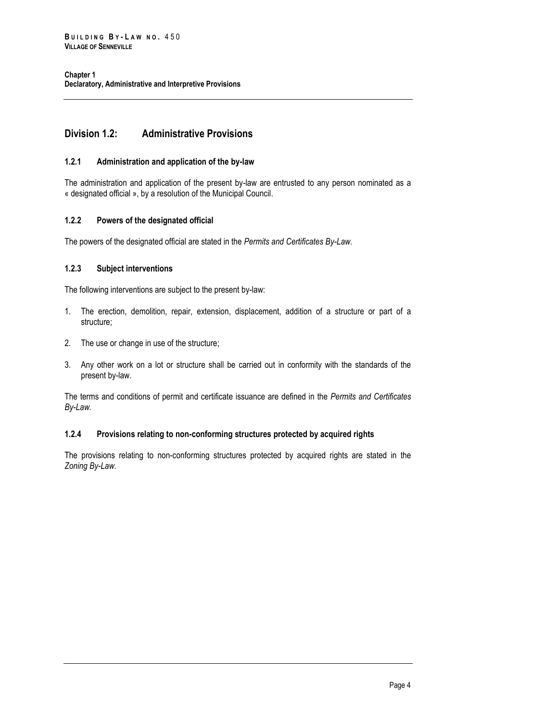# <span id="page-11-0"></span>**Division 1.2: Administrative Provisions**

### <span id="page-11-1"></span>**1.2.1 Administration and application of the by-law**

The administration and application of the present by-law are entrusted to any person nominated as a « designated official », by a resolution of the Municipal Council.

### <span id="page-11-2"></span>**1.2.2 Powers of the designated official**

<span id="page-11-3"></span>The powers of the designated official are stated in the *Permits and Certificates By-Law.*

### **1.2.3 Subject interventions**

The following interventions are subject to the present by-law:

- 1. The erection, demolition, repair, extension, displacement, addition of a structure or part of a structure;
- 2. The use or change in use of the structure;
- 3. Any other work on a lot or structure shall be carried out in conformity with the standards of the present by-law.

The terms and conditions of permit and certificate issuance are defined in the *Permits and Certificates By-Law.*

### <span id="page-11-4"></span>**1.2.4 Provisions relating to non-conforming structures protected by acquired rights**

The provisions relating to non-conforming structures protected by acquired rights are stated in the *Zoning By-Law.*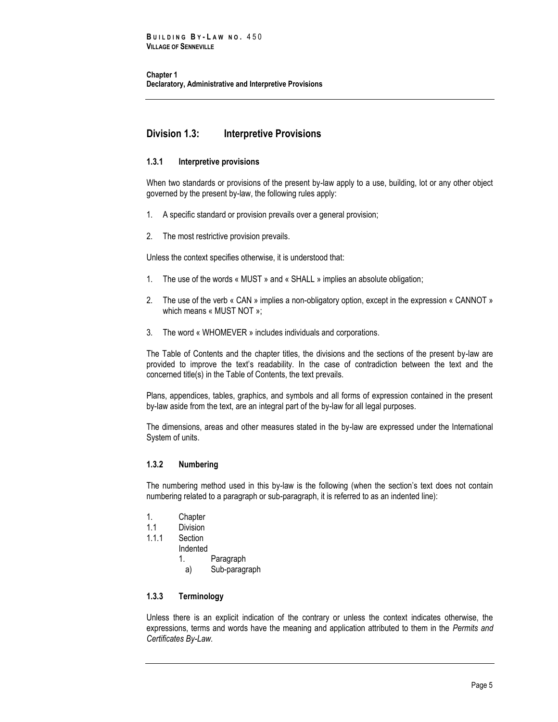**Chapter 1 Declaratory, Administrative and Interpretive Provisions**

## <span id="page-12-0"></span>**Division 1.3: Interpretive Provisions**

### <span id="page-12-1"></span>**1.3.1 Interpretive provisions**

When two standards or provisions of the present by-law apply to a use, building, lot or any other object governed by the present by-law, the following rules apply:

- 1. A specific standard or provision prevails over a general provision;
- 2. The most restrictive provision prevails.

Unless the context specifies otherwise, it is understood that:

- 1. The use of the words « MUST » and « SHALL » implies an absolute obligation;
- 2. The use of the verb « CAN » implies a non-obligatory option, except in the expression « CANNOT » which means « MUST NOT »;
- 3. The word « WHOMEVER » includes individuals and corporations.

The Table of Contents and the chapter titles, the divisions and the sections of the present by-law are provided to improve the text's readability. In the case of contradiction between the text and the concerned title(s) in the Table of Contents, the text prevails.

Plans, appendices, tables, graphics, and symbols and all forms of expression contained in the present by-law aside from the text, are an integral part of the by-law for all legal purposes.

The dimensions, areas and other measures stated in the by-law are expressed under the International System of units.

### <span id="page-12-2"></span>**1.3.2 Numbering**

The numbering method used in this by-law is the following (when the section's text does not contain numbering related to a paragraph or sub-paragraph, it is referred to as an indented line):

- 1. Chapter
- 1.1 Division
- 1.1.1 Section
	- Indented
		- 1. Paragraph
			- a) Sub-paragraph

### <span id="page-12-3"></span>**1.3.3 Terminology**

Unless there is an explicit indication of the contrary or unless the context indicates otherwise, the expressions, terms and words have the meaning and application attributed to them in the *Permits and Certificates By-Law.*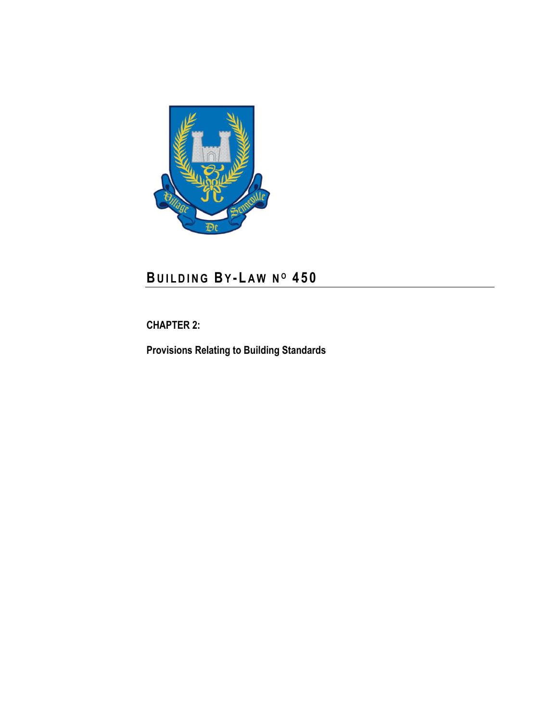

<span id="page-14-0"></span>**CHAPTER 2:**

<span id="page-14-1"></span>**Provisions Relating to Building Standards**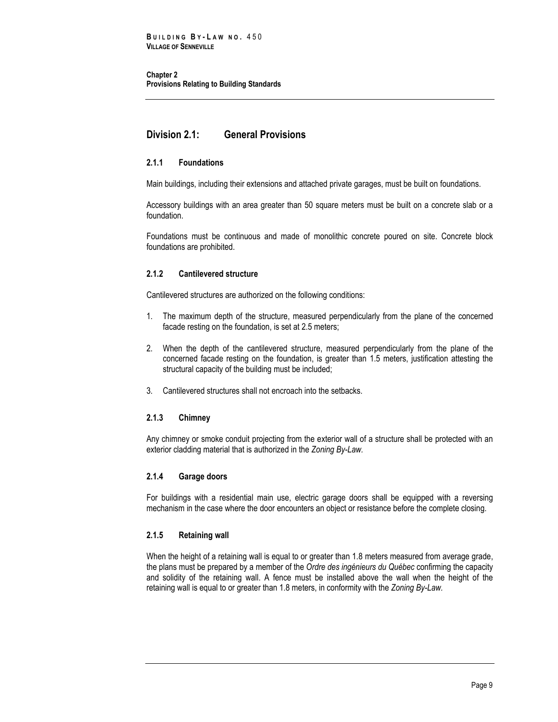# <span id="page-16-0"></span>**Division 2.1: General Provisions**

## <span id="page-16-1"></span>**2.1.1 Foundations**

Main buildings, including their extensions and attached private garages, must be built on foundations.

Accessory buildings with an area greater than 50 square meters must be built on a concrete slab or a foundation.

Foundations must be continuous and made of monolithic concrete poured on site. Concrete block foundations are prohibited.

### <span id="page-16-2"></span>**2.1.2 Cantilevered structure**

Cantilevered structures are authorized on the following conditions:

- 1. The maximum depth of the structure, measured perpendicularly from the plane of the concerned facade resting on the foundation, is set at 2.5 meters;
- 2. When the depth of the cantilevered structure, measured perpendicularly from the plane of the concerned facade resting on the foundation, is greater than 1.5 meters, justification attesting the structural capacity of the building must be included;
- 3. Cantilevered structures shall not encroach into the setbacks.

### <span id="page-16-3"></span>**2.1.3 Chimney**

Any chimney or smoke conduit projecting from the exterior wall of a structure shall be protected with an exterior cladding material that is authorized in the *Zoning By-Law.*

### <span id="page-16-4"></span>**2.1.4 Garage doors**

For buildings with a residential main use, electric garage doors shall be equipped with a reversing mechanism in the case where the door encounters an object or resistance before the complete closing.

### <span id="page-16-5"></span>**2.1.5 Retaining wall**

When the height of a retaining wall is equal to or greater than 1.8 meters measured from average grade, the plans must be prepared by a member of the *Ordre des ingénieurs du Québec* confirming the capacity and solidity of the retaining wall. A fence must be installed above the wall when the height of the retaining wall is equal to or greater than 1.8 meters, in conformity with the *Zoning By-Law.*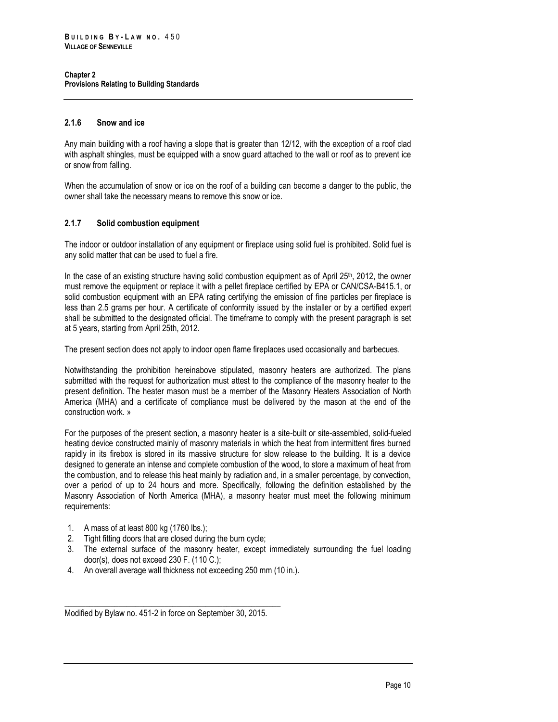### <span id="page-17-0"></span>**2.1.6 Snow and ice**

Any main building with a roof having a slope that is greater than 12/12, with the exception of a roof clad with asphalt shingles, must be equipped with a snow guard attached to the wall or roof as to prevent ice or snow from falling.

When the accumulation of snow or ice on the roof of a building can become a danger to the public, the owner shall take the necessary means to remove this snow or ice.

### <span id="page-17-1"></span>**2.1.7 Solid combustion equipment**

The indoor or outdoor installation of any equipment or fireplace using solid fuel is prohibited. Solid fuel is any solid matter that can be used to fuel a fire.

In the case of an existing structure having solid combustion equipment as of April 25<sup>th</sup>, 2012, the owner must remove the equipment or replace it with a pellet fireplace certified by EPA or CAN/CSA-B415.1, or solid combustion equipment with an EPA rating certifying the emission of fine particles per fireplace is less than 2.5 grams per hour. A certificate of conformity issued by the installer or by a certified expert shall be submitted to the designated official. The timeframe to comply with the present paragraph is set at 5 years, starting from April 25th, 2012.

The present section does not apply to indoor open flame fireplaces used occasionally and barbecues.

Notwithstanding the prohibition hereinabove stipulated, masonry heaters are authorized. The plans submitted with the request for authorization must attest to the compliance of the masonry heater to the present definition. The heater mason must be a member of the Masonry Heaters Association of North America (MHA) and a certificate of compliance must be delivered by the mason at the end of the construction work. »

For the purposes of the present section, a masonry heater is a site-built or site-assembled, solid-fueled heating device constructed mainly of masonry materials in which the heat from intermittent fires burned rapidly in its firebox is stored in its massive structure for slow release to the building. It is a device designed to generate an intense and complete combustion of the wood, to store a maximum of heat from the combustion, and to release this heat mainly by radiation and, in a smaller percentage, by convection, over a period of up to 24 hours and more. Specifically, following the definition established by the Masonry Association of North America (MHA), a masonry heater must meet the following minimum requirements:

- 1. A mass of at least 800 kg (1760 lbs.);
- 2. Tight fitting doors that are closed during the burn cycle;
- 3. The external surface of the masonry heater, except immediately surrounding the fuel loading door(s), does not exceed 230 F. (110 C.);
- 4. An overall average wall thickness not exceeding 250 mm (10 in.).

\_\_\_\_\_\_\_\_\_\_\_\_\_\_\_\_\_\_\_\_\_\_\_\_\_\_\_\_\_\_\_\_\_\_\_\_\_\_\_\_\_\_\_\_\_\_\_\_\_\_\_\_ Modified by Bylaw no. 451-2 in force on September 30, 2015.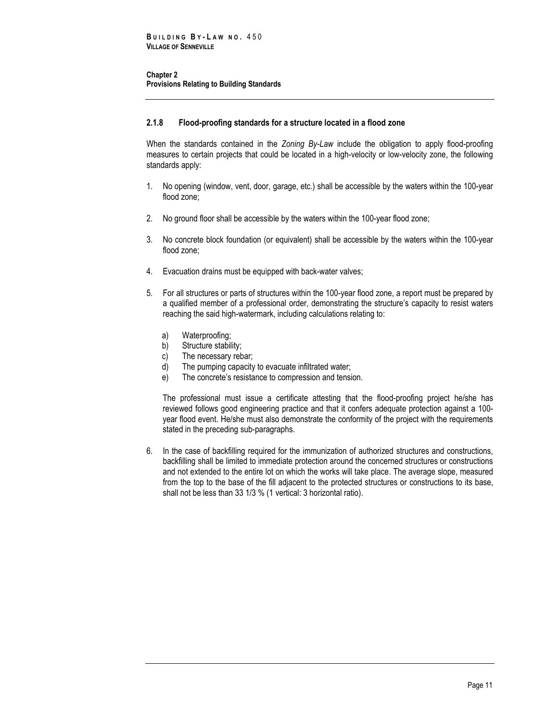### <span id="page-18-0"></span>**2.1.8 Flood-proofing standards for a structure located in a flood zone**

When the standards contained in the *Zoning By-Law* include the obligation to apply flood-proofing measures to certain projects that could be located in a high-velocity or low-velocity zone, the following standards apply:

- 1. No opening (window, vent, door, garage, etc.) shall be accessible by the waters within the 100-year flood zone;
- 2. No ground floor shall be accessible by the waters within the 100-year flood zone;
- 3. No concrete block foundation (or equivalent) shall be accessible by the waters within the 100-year flood zone;
- 4. Evacuation drains must be equipped with back-water valves;
- 5. For all structures or parts of structures within the 100-year flood zone, a report must be prepared by a qualified member of a professional order, demonstrating the structure's capacity to resist waters reaching the said high-watermark, including calculations relating to:
	- a) Waterproofing;
	- b) Structure stability;
	- c) The necessary rebar;
	- d) The pumping capacity to evacuate infiltrated water;
	- e) The concrete's resistance to compression and tension.

The professional must issue a certificate attesting that the flood-proofing project he/she has reviewed follows good engineering practice and that it confers adequate protection against a 100 year flood event. He/she must also demonstrate the conformity of the project with the requirements stated in the preceding sub-paragraphs.

6. In the case of backfilling required for the immunization of authorized structures and constructions, backfilling shall be limited to immediate protection around the concerned structures or constructions and not extended to the entire lot on which the works will take place. The average slope, measured from the top to the base of the fill adjacent to the protected structures or constructions to its base, shall not be less than 33 1/3 % (1 vertical: 3 horizontal ratio).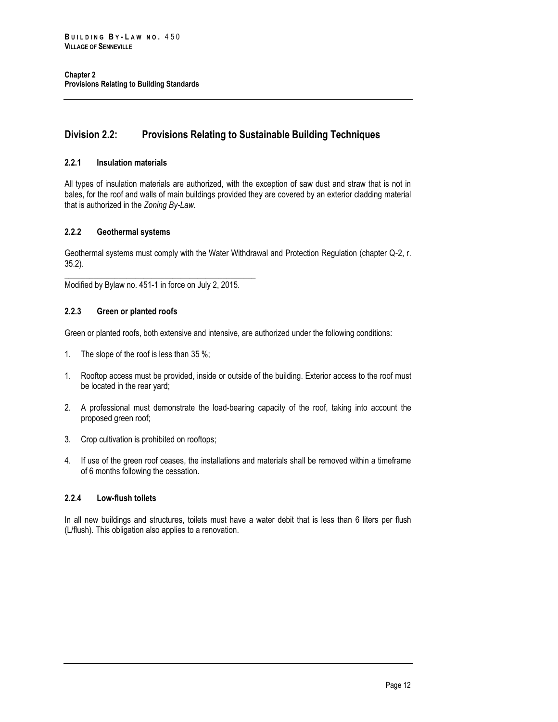# <span id="page-19-0"></span>**Division 2.2: Provisions Relating to Sustainable Building Techniques**

### <span id="page-19-1"></span>**2.2.1 Insulation materials**

All types of insulation materials are authorized, with the exception of saw dust and straw that is not in bales, for the roof and walls of main buildings provided they are covered by an exterior cladding material that is authorized in the *Zoning By-Law.*

### <span id="page-19-2"></span>**2.2.2 Geothermal systems**

Geothermal systems must comply with the Water Withdrawal and Protection Regulation (chapter Q-2, r. 35.2).

\_\_\_\_\_\_\_\_\_\_\_\_\_\_\_\_\_\_\_\_\_\_\_\_\_\_\_\_\_\_\_\_\_\_\_\_\_\_\_\_\_\_\_\_\_\_ Modified by Bylaw no. 451-1 in force on July 2, 2015.

### <span id="page-19-3"></span>**2.2.3 Green or planted roofs**

Green or planted roofs, both extensive and intensive, are authorized under the following conditions:

- 1. The slope of the roof is less than 35 %;
- 1. Rooftop access must be provided, inside or outside of the building. Exterior access to the roof must be located in the rear yard;
- 2. A professional must demonstrate the load-bearing capacity of the roof, taking into account the proposed green roof;
- 3. Crop cultivation is prohibited on rooftops;
- 4. If use of the green roof ceases, the installations and materials shall be removed within a timeframe of 6 months following the cessation.

### <span id="page-19-4"></span>**2.2.4 Low-flush toilets**

In all new buildings and structures, toilets must have a water debit that is less than 6 liters per flush (L/flush). This obligation also applies to a renovation.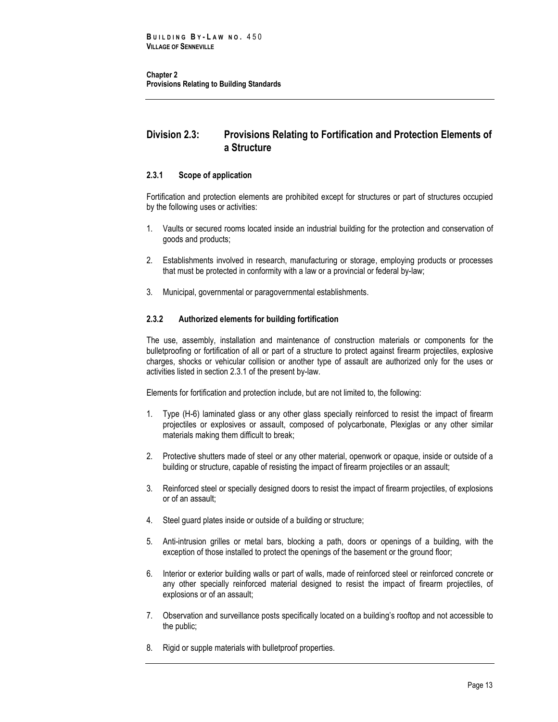## <span id="page-20-0"></span>**Division 2.3: Provisions Relating to Fortification and Protection Elements of a Structure**

### <span id="page-20-1"></span>**2.3.1 Scope of application**

Fortification and protection elements are prohibited except for structures or part of structures occupied by the following uses or activities:

- 1. Vaults or secured rooms located inside an industrial building for the protection and conservation of goods and products;
- 2. Establishments involved in research, manufacturing or storage, employing products or processes that must be protected in conformity with a law or a provincial or federal by-law;
- 3. Municipal, governmental or paragovernmental establishments.

### <span id="page-20-2"></span>**2.3.2 Authorized elements for building fortification**

The use, assembly, installation and maintenance of construction materials or components for the bulletproofing or fortification of all or part of a structure to protect against firearm projectiles, explosive charges, shocks or vehicular collision or another type of assault are authorized only for the uses or activities listed in section 2.3.1 of the present by-law.

Elements for fortification and protection include, but are not limited to, the following:

- 1. Type (H-6) laminated glass or any other glass specially reinforced to resist the impact of firearm projectiles or explosives or assault, composed of polycarbonate, Plexiglas or any other similar materials making them difficult to break;
- 2. Protective shutters made of steel or any other material, openwork or opaque, inside or outside of a building or structure, capable of resisting the impact of firearm projectiles or an assault;
- 3. Reinforced steel or specially designed doors to resist the impact of firearm projectiles, of explosions or of an assault;
- 4. Steel guard plates inside or outside of a building or structure;
- 5. Anti-intrusion grilles or metal bars, blocking a path, doors or openings of a building, with the exception of those installed to protect the openings of the basement or the ground floor;
- 6. Interior or exterior building walls or part of walls, made of reinforced steel or reinforced concrete or any other specially reinforced material designed to resist the impact of firearm projectiles, of explosions or of an assault;
- 7. Observation and surveillance posts specifically located on a building's rooftop and not accessible to the public;
- 8. Rigid or supple materials with bulletproof properties.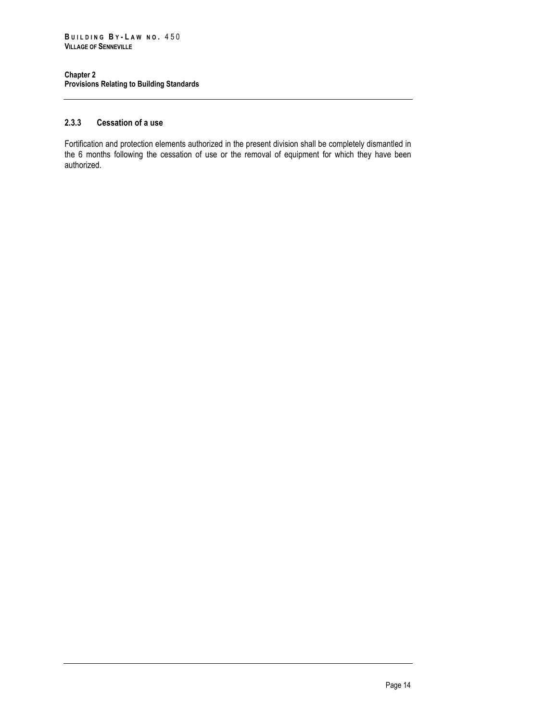## <span id="page-21-0"></span>**2.3.3 Cessation of a use**

Fortification and protection elements authorized in the present division shall be completely dismantled in the 6 months following the cessation of use or the removal of equipment for which they have been authorized.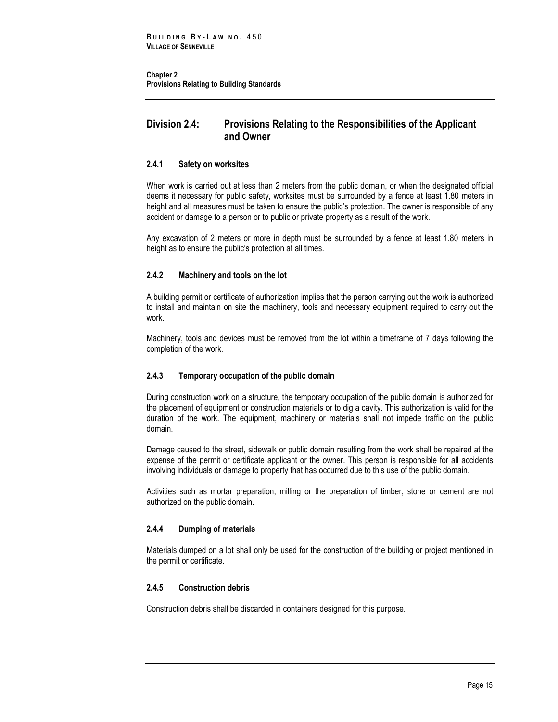# <span id="page-22-0"></span>**Division 2.4: Provisions Relating to the Responsibilities of the Applicant and Owner**

### <span id="page-22-1"></span>**2.4.1 Safety on worksites**

When work is carried out at less than 2 meters from the public domain, or when the designated official deems it necessary for public safety, worksites must be surrounded by a fence at least 1.80 meters in height and all measures must be taken to ensure the public's protection. The owner is responsible of any accident or damage to a person or to public or private property as a result of the work.

Any excavation of 2 meters or more in depth must be surrounded by a fence at least 1.80 meters in height as to ensure the public's protection at all times.

### <span id="page-22-2"></span>**2.4.2 Machinery and tools on the lot**

A building permit or certificate of authorization implies that the person carrying out the work is authorized to install and maintain on site the machinery, tools and necessary equipment required to carry out the work.

Machinery, tools and devices must be removed from the lot within a timeframe of 7 days following the completion of the work.

### <span id="page-22-3"></span>**2.4.3 Temporary occupation of the public domain**

During construction work on a structure, the temporary occupation of the public domain is authorized for the placement of equipment or construction materials or to dig a cavity. This authorization is valid for the duration of the work. The equipment, machinery or materials shall not impede traffic on the public domain.

Damage caused to the street, sidewalk or public domain resulting from the work shall be repaired at the expense of the permit or certificate applicant or the owner. This person is responsible for all accidents involving individuals or damage to property that has occurred due to this use of the public domain.

Activities such as mortar preparation, milling or the preparation of timber, stone or cement are not authorized on the public domain.

### <span id="page-22-4"></span>**2.4.4 Dumping of materials**

Materials dumped on a lot shall only be used for the construction of the building or project mentioned in the permit or certificate.

### <span id="page-22-5"></span>**2.4.5 Construction debris**

Construction debris shall be discarded in containers designed for this purpose.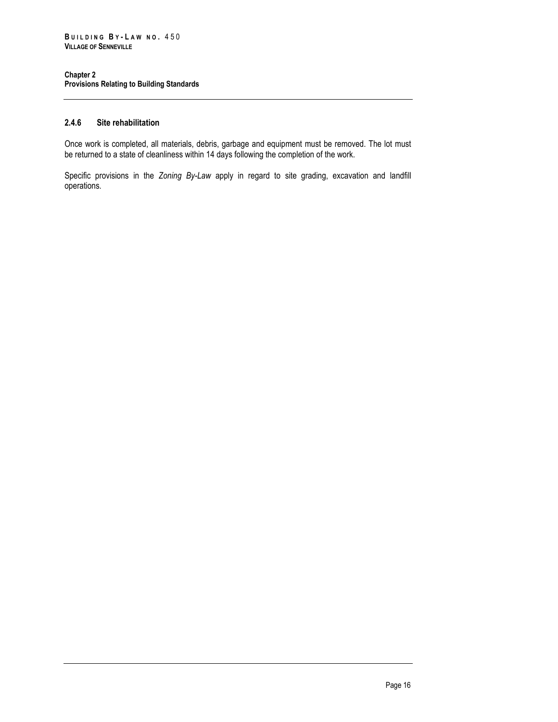## <span id="page-23-0"></span>**2.4.6 Site rehabilitation**

Once work is completed, all materials, debris, garbage and equipment must be removed. The lot must be returned to a state of cleanliness within 14 days following the completion of the work.

Specific provisions in the *Zoning By-Law* apply in regard to site grading, excavation and landfill operations*.*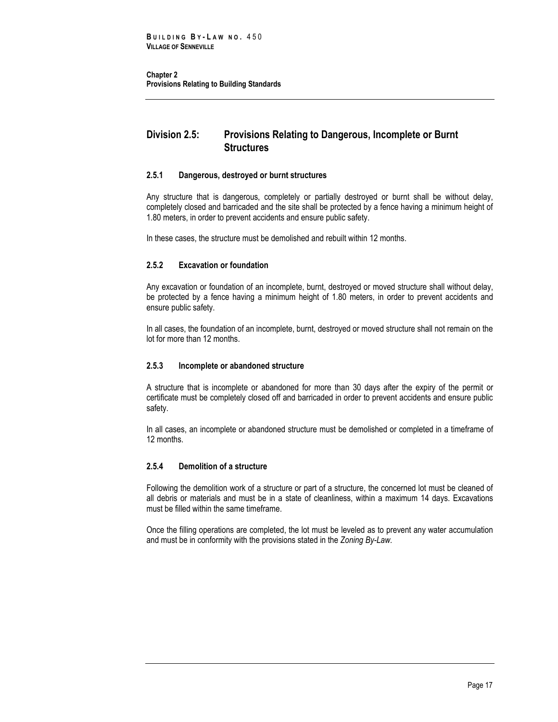## <span id="page-24-0"></span>**Division 2.5: Provisions Relating to Dangerous, Incomplete or Burnt Structures**

### <span id="page-24-1"></span>**2.5.1 Dangerous, destroyed or burnt structures**

Any structure that is dangerous, completely or partially destroyed or burnt shall be without delay, completely closed and barricaded and the site shall be protected by a fence having a minimum height of 1.80 meters, in order to prevent accidents and ensure public safety.

<span id="page-24-2"></span>In these cases, the structure must be demolished and rebuilt within 12 months.

### **2.5.2 Excavation or foundation**

Any excavation or foundation of an incomplete, burnt, destroyed or moved structure shall without delay, be protected by a fence having a minimum height of 1.80 meters, in order to prevent accidents and ensure public safety.

In all cases, the foundation of an incomplete, burnt, destroyed or moved structure shall not remain on the lot for more than 12 months.

### <span id="page-24-3"></span>**2.5.3 Incomplete or abandoned structure**

A structure that is incomplete or abandoned for more than 30 days after the expiry of the permit or certificate must be completely closed off and barricaded in order to prevent accidents and ensure public safety.

In all cases, an incomplete or abandoned structure must be demolished or completed in a timeframe of 12 months.

### <span id="page-24-4"></span>**2.5.4 Demolition of a structure**

Following the demolition work of a structure or part of a structure, the concerned lot must be cleaned of all debris or materials and must be in a state of cleanliness, within a maximum 14 days. Excavations must be filled within the same timeframe.

Once the filling operations are completed, the lot must be leveled as to prevent any water accumulation and must be in conformity with the provisions stated in the *Zoning By-Law.*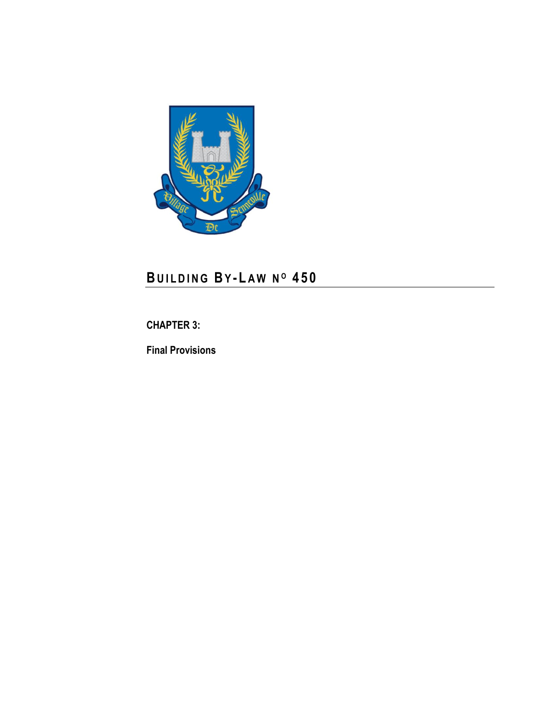

# <span id="page-26-0"></span>**CHAPTER 3:**

<span id="page-26-1"></span>**Final Provisions**